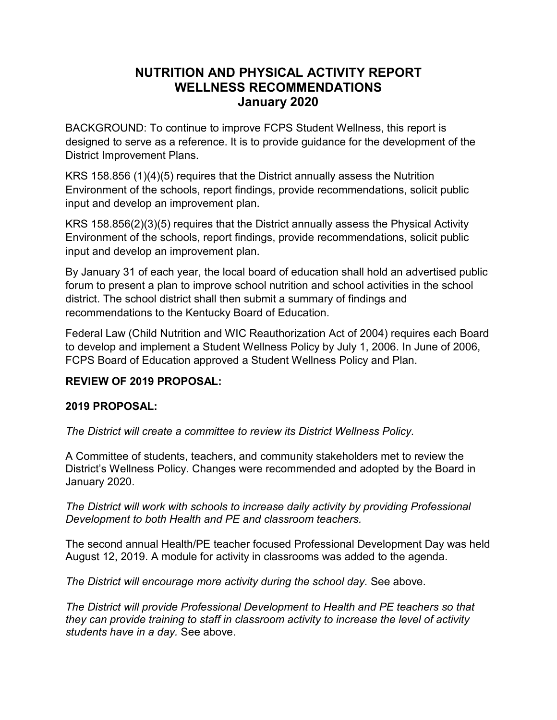# **NUTRITION AND PHYSICAL ACTIVITY REPORT WELLNESS RECOMMENDATIONS January 2020**

BACKGROUND: To continue to improve FCPS Student Wellness, this report is designed to serve as a reference. It is to provide guidance for the development of the District Improvement Plans.

KRS 158.856 (1)(4)(5) requires that the District annually assess the Nutrition Environment of the schools, report findings, provide recommendations, solicit public input and develop an improvement plan.

KRS 158.856(2)(3)(5) requires that the District annually assess the Physical Activity Environment of the schools, report findings, provide recommendations, solicit public input and develop an improvement plan.

By January 31 of each year, the local board of education shall hold an advertised public forum to present a plan to improve school nutrition and school activities in the school district. The school district shall then submit a summary of findings and recommendations to the Kentucky Board of Education.

Federal Law (Child Nutrition and WIC Reauthorization Act of 2004) requires each Board to develop and implement a Student Wellness Policy by July 1, 2006. In June of 2006, FCPS Board of Education approved a Student Wellness Policy and Plan.

## **REVIEW OF 2019 PROPOSAL:**

## **2019 PROPOSAL:**

*The District will create a committee to review its District Wellness Policy.*

A Committee of students, teachers, and community stakeholders met to review the District's Wellness Policy. Changes were recommended and adopted by the Board in January 2020.

*The District will work with schools to increase daily activity by providing Professional Development to both Health and PE and classroom teachers.*

The second annual Health/PE teacher focused Professional Development Day was held August 12, 2019. A module for activity in classrooms was added to the agenda.

*The District will encourage more activity during the school day.* See above.

*The District will provide Professional Development to Health and PE teachers so that they can provide training to staff in classroom activity to increase the level of activity students have in a day.* See above.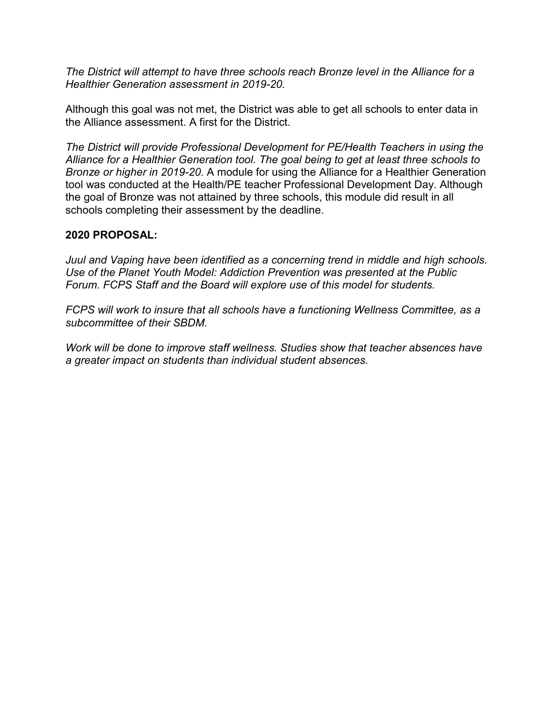*The District will attempt to have three schools reach Bronze level in the Alliance for a Healthier Generation assessment in 2019-20.*

Although this goal was not met, the District was able to get all schools to enter data in the Alliance assessment. A first for the District.

*The District will provide Professional Development for PE/Health Teachers in using the Alliance for a Healthier Generation tool. The goal being to get at least three schools to Bronze or higher in 2019-20.* A module for using the Alliance for a Healthier Generation tool was conducted at the Health/PE teacher Professional Development Day. Although the goal of Bronze was not attained by three schools, this module did result in all schools completing their assessment by the deadline.

#### **2020 PROPOSAL:**

*Juul and Vaping have been identified as a concerning trend in middle and high schools. Use of the Planet Youth Model: Addiction Prevention was presented at the Public Forum. FCPS Staff and the Board will explore use of this model for students.*

*FCPS will work to insure that all schools have a functioning Wellness Committee, as a subcommittee of their SBDM.*

*Work will be done to improve staff wellness. Studies show that teacher absences have a greater impact on students than individual student absences.*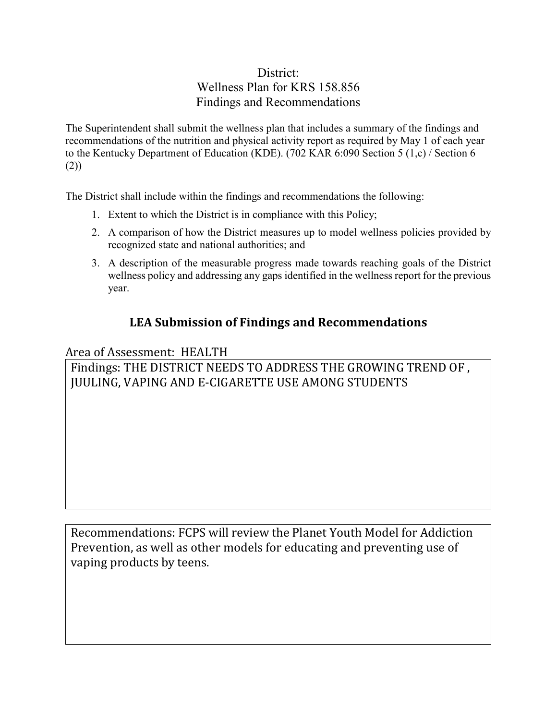# District: Wellness Plan for KRS 158.856 Findings and Recommendations

The Superintendent shall submit the wellness plan that includes a summary of the findings and recommendations of the nutrition and physical activity report as required by May 1 of each year to the Kentucky Department of Education (KDE). (702 KAR 6:090 Section 5 (1,c) / Section 6 (2))

The District shall include within the findings and recommendations the following:

- 1. Extent to which the District is in compliance with this Policy;
- 2. A comparison of how the District measures up to model wellness policies provided by recognized state and national authorities; and
- 3. A description of the measurable progress made towards reaching goals of the District wellness policy and addressing any gaps identified in the wellness report for the previous year.

# **LEA Submission of Findings and Recommendations**

Area of Assessment: HEALTH Findings: THE DISTRICT NEEDS TO ADDRESS THE GROWING TREND OF , JUULING, VAPING AND E-CIGARETTE USE AMONG STUDENTS

Recommendations: FCPS will review the Planet Youth Model for Addiction Prevention, as well as other models for educating and preventing use of vaping products by teens.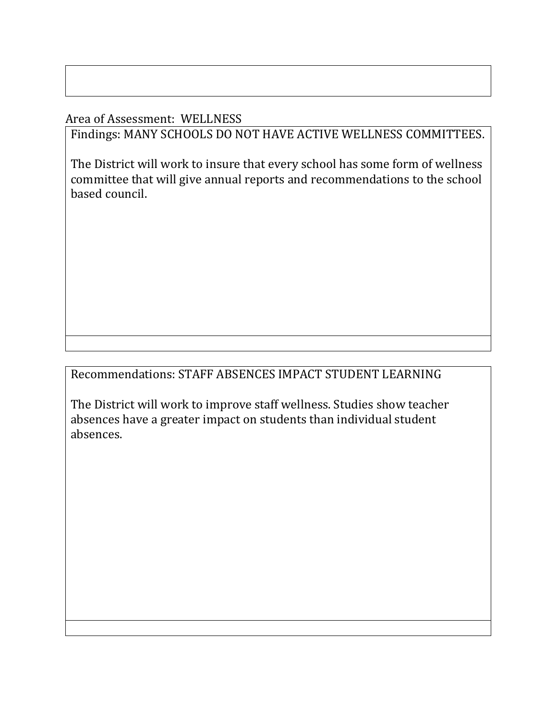Area of Assessment: WELLNESS

Findings: MANY SCHOOLS DO NOT HAVE ACTIVE WELLNESS COMMITTEES.

The District will work to insure that every school has some form of wellness committee that will give annual reports and recommendations to the school based council.

Recommendations: STAFF ABSENCES IMPACT STUDENT LEARNING

The District will work to improve staff wellness. Studies show teacher absences have a greater impact on students than individual student absences.